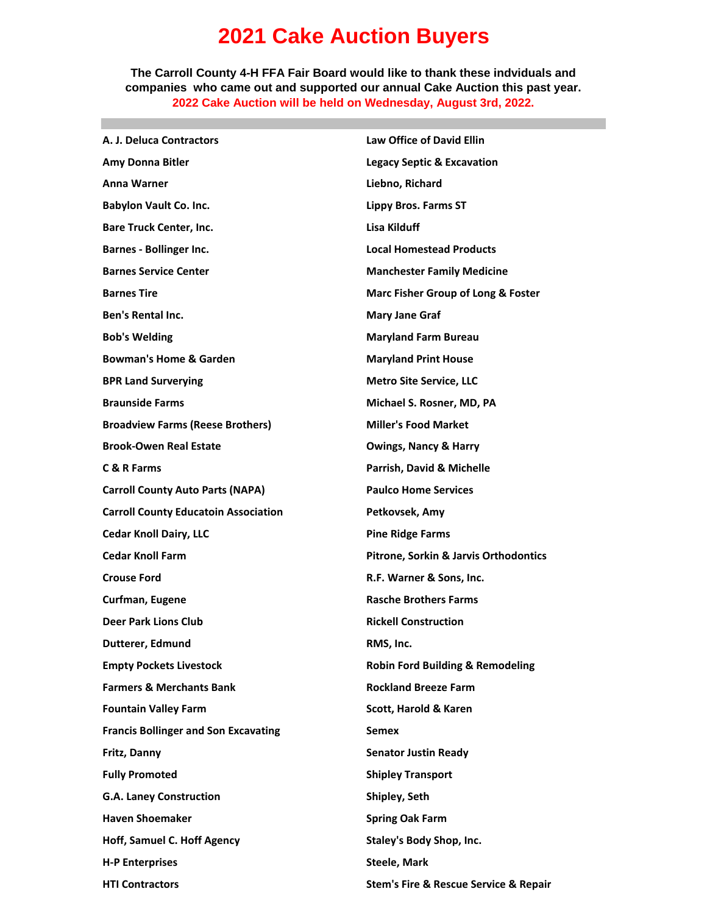## **2021 Cake Auction Buyers**

**The Carroll County 4-H FFA Fair Board would like to thank these indviduals and companies who came out and supported our annual Cake Auction this past year. 2022 Cake Auction will be held on Wednesday, August 3rd, 2022.**

| A. J. Deluca Contractors                    | <b>Law Office of David Ellin</b>                     |
|---------------------------------------------|------------------------------------------------------|
| Amy Donna Bitler                            | <b>Legacy Septic &amp; Excavation</b>                |
| <b>Anna Warner</b>                          | Liebno, Richard                                      |
| <b>Babylon Vault Co. Inc.</b>               | Lippy Bros. Farms ST                                 |
| <b>Bare Truck Center, Inc.</b>              | Lisa Kilduff                                         |
| <b>Barnes - Bollinger Inc.</b>              | <b>Local Homestead Products</b>                      |
| <b>Barnes Service Center</b>                | <b>Manchester Family Medicine</b>                    |
| <b>Barnes Tire</b>                          | Marc Fisher Group of Long & Foster                   |
| <b>Ben's Rental Inc.</b>                    | <b>Mary Jane Graf</b>                                |
| <b>Bob's Welding</b>                        | <b>Maryland Farm Bureau</b>                          |
| <b>Bowman's Home &amp; Garden</b>           | <b>Maryland Print House</b>                          |
| <b>BPR Land Surverying</b>                  | <b>Metro Site Service, LLC</b>                       |
| <b>Braunside Farms</b>                      | Michael S. Rosner, MD, PA                            |
| <b>Broadview Farms (Reese Brothers)</b>     | <b>Miller's Food Market</b>                          |
| <b>Brook-Owen Real Estate</b>               | <b>Owings, Nancy &amp; Harry</b>                     |
| C & R Farms                                 | Parrish, David & Michelle                            |
| <b>Carroll County Auto Parts (NAPA)</b>     | <b>Paulco Home Services</b>                          |
| <b>Carroll County Educatoin Association</b> | Petkovsek, Amy                                       |
| <b>Cedar Knoll Dairy, LLC</b>               | <b>Pine Ridge Farms</b>                              |
| <b>Cedar Knoll Farm</b>                     | <b>Pitrone, Sorkin &amp; Jarvis Orthodontics</b>     |
| <b>Crouse Ford</b>                          | R.F. Warner & Sons, Inc.                             |
| Curfman, Eugene                             | <b>Rasche Brothers Farms</b>                         |
| <b>Deer Park Lions Club</b>                 | <b>Rickell Construction</b>                          |
| Dutterer, Edmund                            | RMS, Inc.                                            |
| <b>Empty Pockets Livestock</b>              | <b>Robin Ford Building &amp; Remodeling</b>          |
| <b>Farmers &amp; Merchants Bank</b>         | <b>Rockland Breeze Farm</b>                          |
| <b>Fountain Valley Farm</b>                 | Scott, Harold & Karen                                |
| <b>Francis Bollinger and Son Excavating</b> | <b>Semex</b>                                         |
| Fritz, Danny                                | <b>Senator Justin Ready</b>                          |
| <b>Fully Promoted</b>                       | <b>Shipley Transport</b>                             |
| <b>G.A. Laney Construction</b>              | Shipley, Seth                                        |
| <b>Haven Shoemaker</b>                      | <b>Spring Oak Farm</b>                               |
| <b>Hoff, Samuel C. Hoff Agency</b>          | <b>Staley's Body Shop, Inc.</b>                      |
| <b>H-P Enterprises</b>                      | <b>Steele, Mark</b>                                  |
| <b>HTI Contractors</b>                      | <b>Stem's Fire &amp; Rescue Service &amp; Repair</b> |